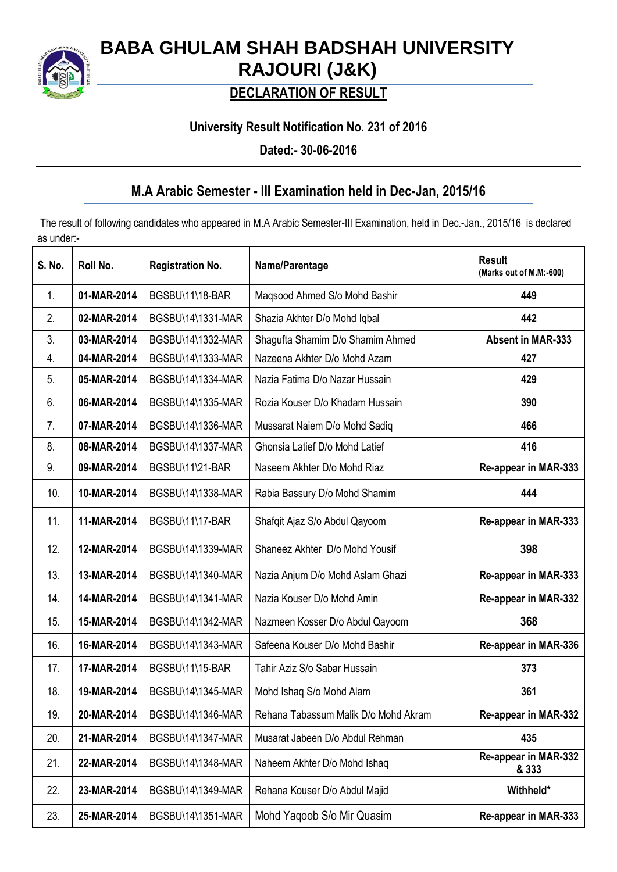

# **BABA GHULAM SHAH BADSHAH UNIVERSITY RAJOURI (J&K)**

## **DECLARATION OF RESULT**

### **University Result Notification No. 231 of 2016**

**Dated:- 30-06-2016**

### **M.A Arabic Semester - III Examination held in Dec-Jan, 2015/16**

The result of following candidates who appeared in M.A Arabic Semester-III Examination, held in Dec.-Jan., 2015/16 is declared as under:-

| S. No. | Roll No.    | <b>Registration No.</b> | Name/Parentage                       | <b>Result</b><br>(Marks out of M.M:-600) |
|--------|-------------|-------------------------|--------------------------------------|------------------------------------------|
| 1.     | 01-MAR-2014 | BGSBU\11\18-BAR         | Maqsood Ahmed S/o Mohd Bashir        | 449                                      |
| 2.     | 02-MAR-2014 | BGSBU\14\1331-MAR       | Shazia Akhter D/o Mohd Iqbal         | 442                                      |
| 3.     | 03-MAR-2014 | BGSBU\14\1332-MAR       | Shagufta Shamim D/o Shamim Ahmed     | <b>Absent in MAR-333</b>                 |
| 4.     | 04-MAR-2014 | BGSBU\14\1333-MAR       | Nazeena Akhter D/o Mohd Azam         | 427                                      |
| 5.     | 05-MAR-2014 | BGSBU\14\1334-MAR       | Nazia Fatima D/o Nazar Hussain       | 429                                      |
| 6.     | 06-MAR-2014 | BGSBU\14\1335-MAR       | Rozia Kouser D/o Khadam Hussain      | 390                                      |
| 7.     | 07-MAR-2014 | BGSBU\14\1336-MAR       | Mussarat Naiem D/o Mohd Sadiq        | 466                                      |
| 8.     | 08-MAR-2014 | BGSBU\14\1337-MAR       | Ghonsia Latief D/o Mohd Latief       | 416                                      |
| 9.     | 09-MAR-2014 | BGSBU\11\21-BAR         | Naseem Akhter D/o Mohd Riaz          | Re-appear in MAR-333                     |
| 10.    | 10-MAR-2014 | BGSBU\14\1338-MAR       | Rabia Bassury D/o Mohd Shamim        | 444                                      |
| 11.    | 11-MAR-2014 | BGSBU\11\17-BAR         | Shafqit Ajaz S/o Abdul Qayoom        | Re-appear in MAR-333                     |
| 12.    | 12-MAR-2014 | BGSBU\14\1339-MAR       | Shaneez Akhter D/o Mohd Yousif       | 398                                      |
| 13.    | 13-MAR-2014 | BGSBU\14\1340-MAR       | Nazia Anjum D/o Mohd Aslam Ghazi     | Re-appear in MAR-333                     |
| 14.    | 14-MAR-2014 | BGSBU\14\1341-MAR       | Nazia Kouser D/o Mohd Amin           | Re-appear in MAR-332                     |
| 15.    | 15-MAR-2014 | BGSBU\14\1342-MAR       | Nazmeen Kosser D/o Abdul Qayoom      | 368                                      |
| 16.    | 16-MAR-2014 | BGSBU\14\1343-MAR       | Safeena Kouser D/o Mohd Bashir       | Re-appear in MAR-336                     |
| 17.    | 17-MAR-2014 | BGSBU\11\15-BAR         | Tahir Aziz S/o Sabar Hussain         | 373                                      |
| 18.    | 19-MAR-2014 | BGSBU\14\1345-MAR       | Mohd Ishaq S/o Mohd Alam             | 361                                      |
| 19.    | 20-MAR-2014 | BGSBU\14\1346-MAR       | Rehana Tabassum Malik D/o Mohd Akram | Re-appear in MAR-332                     |
| 20.    | 21-MAR-2014 | BGSBU\14\1347-MAR       | Musarat Jabeen D/o Abdul Rehman      | 435                                      |
| 21.    | 22-MAR-2014 | BGSBU\14\1348-MAR       | Naheem Akhter D/o Mohd Ishaq         | Re-appear in MAR-332<br>& 333            |
| 22.    | 23-MAR-2014 | BGSBU\14\1349-MAR       | Rehana Kouser D/o Abdul Majid        | Withheld*                                |
| 23.    | 25-MAR-2014 | BGSBU\14\1351-MAR       | Mohd Yaqoob S/o Mir Quasim           | Re-appear in MAR-333                     |